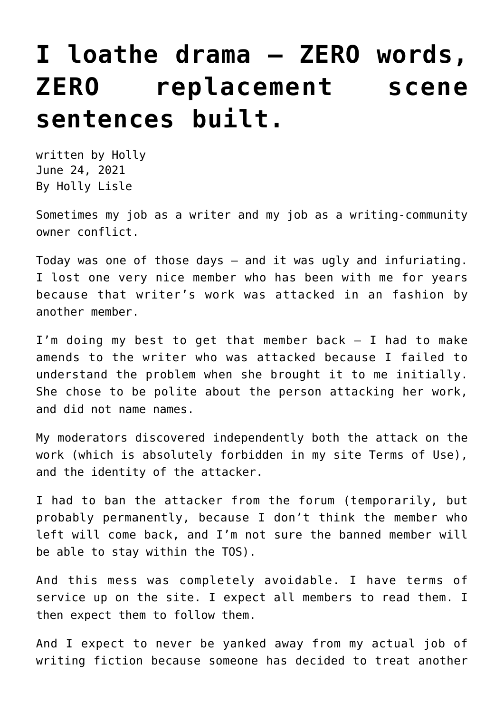## **[I loathe drama — ZERO words,](https://hollylisle.com/i-loathe-drama-zero-words-zero-replacement-scene-sentences-built/) [ZERO replacement scene](https://hollylisle.com/i-loathe-drama-zero-words-zero-replacement-scene-sentences-built/) [sentences built.](https://hollylisle.com/i-loathe-drama-zero-words-zero-replacement-scene-sentences-built/)**

written by Holly June 24, 2021 [By Holly Lisle](https://hollylisle.com)

Sometimes my job as a writer and my job as a writing-community owner conflict.

Today was one of those days — and it was ugly and infuriating. I lost one very nice member who has been with me for years because that writer's work was attacked in an fashion by another member.

I'm doing my best to get that member back — I had to make amends to the writer who was attacked because I failed to understand the problem when she brought it to me initially. She chose to be polite about the person attacking her work, and did not name names.

My moderators discovered independently both the attack on the work (which is absolutely forbidden in my site Terms of Use), and the identity of the attacker.

I had to ban the attacker from the forum (temporarily, but probably permanently, because I don't think the member who left will come back, and I'm not sure the banned member will be able to stay within the TOS).

And this mess was completely avoidable. I have terms of service up on the site. I expect all members to read them. I then expect them to follow them.

And I expect to never be yanked away from my actual job of writing fiction because someone has decided to treat another